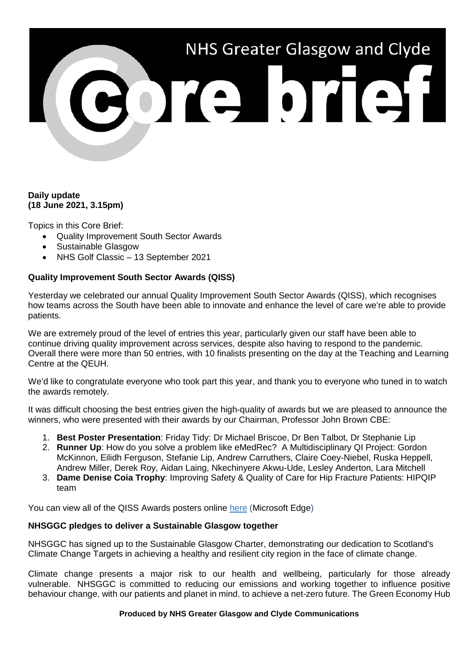# NHS Greater Glasgow and Clyde 3013101131

## **Daily update (18 June 2021, 3.15pm)**

Topics in this Core Brief:

- Quality Improvement South Sector Awards
- Sustainable Glasgow
- NHS Golf Classic 13 September 2021

# **Quality Improvement South Sector Awards (QISS)**

Yesterday we celebrated our annual Quality Improvement South Sector Awards (QISS), which recognises how teams across the South have been able to innovate and enhance the level of care we're able to provide patients.

We are extremely proud of the level of entries this year, particularly given our staff have been able to continue driving quality improvement across services, despite also having to respond to the pandemic. Overall there were more than 50 entries, with 10 finalists presenting on the day at the Teaching and Learning Centre at the QEUH.

We'd like to congratulate everyone who took part this year, and thank you to everyone who tuned in to watch the awards remotely.

It was difficult choosing the best entries given the high-quality of awards but we are pleased to announce the winners, who were presented with their awards by our Chairman, Professor John Brown CBE:

- 1. **Best Poster Presentation**: Friday Tidy: Dr Michael Briscoe, Dr Ben Talbot, Dr Stephanie Lip
- 2. **Runner Up**: How do you solve a problem like eMedRec? A Multidisciplinary QI Project: Gordon McKinnon, Eilidh Ferguson, Stefanie Lip, Andrew Carruthers, Claire Coey-Niebel, Ruska Heppell, Andrew Miller, Derek Roy, Aidan Laing, Nkechinyere Akwu-Ude, Lesley Anderton, Lara Mitchell
- 3. **Dame Denise Coia Trophy**: Improving Safety & Quality of Care for Hip Fracture Patients: HIPQIP team

You can view all of the QISS Awards posters online [here](https://www.nhsggc.org.uk/media/267565/posters-for-170621.ppt) (Microsoft Edge)

### **NHSGGC pledges to deliver a Sustainable Glasgow together**

NHSGGC has signed up to the Sustainable Glasgow Charter, demonstrating our dedication to Scotland's Climate Change Targets in achieving a healthy and resilient city region in the face of climate change.

Climate change presents a major risk to our health and wellbeing, particularly for those already vulnerable. NHSGGC is committed to reducing our emissions and working together to influence positive behaviour change, with our patients and planet in mind, to achieve a net-zero future. The Green Economy Hub

### **Produced by NHS Greater Glasgow and Clyde Communications**